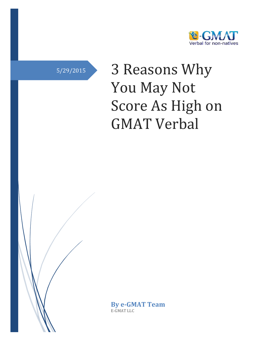

# 5/29/2015 3 Reasons Why You May Not Score As High on GMAT Verbal

**By e-GMAT Team** E-GMAT LLC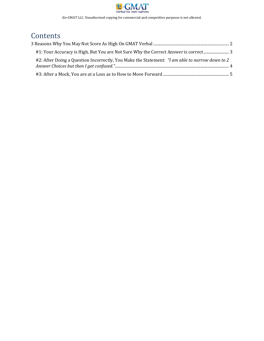

©e-GMAT LLC. Unauthorized copying for commercial and competitive purposes is not allowed.

## **Contents**

| #1: Your Accuracy is High, But You are Not Sure Why the Correct Answer is correct              |  |
|------------------------------------------------------------------------------------------------|--|
| #2: After Doing a Question Incorrectly, You Make the Statement: "I am able to narrow down to 2 |  |
|                                                                                                |  |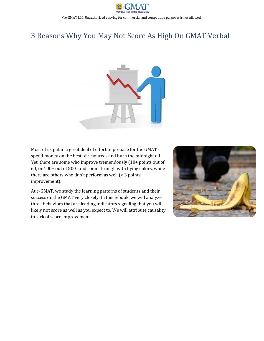

©e-GMAT LLC. Unauthorized copying for commercial and competitive purposes is not allowed.

## <span id="page-2-0"></span>3 Reasons Why You May Not Score As High On GMAT Verbal



Most of us put in a great deal of effort to prepare for the GMAT spend money on the best of resources and burn the midnight oil. Yet, there are some who improve tremendously (10+ points out of 60, or 100+ out of 800) and come through with flying colors, while there are others who don't perform as well (< 3 points improvement).

At e-GMAT, we study the learning patterns of students and their success on the GMAT very closely. In this e-book, we will analyze three behaviors that are leading indicators signaling that you will likely not score as well as you expect to. We will attribute causality to lack of score improvement.

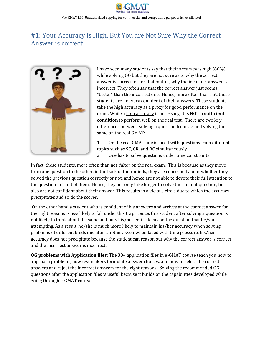

### <span id="page-3-0"></span>#1: Your Accuracy is High, But You are Not Sure Why the Correct Answer is correct



I have seen many students say that their accuracy is high (80%) while solving OG but they are not sure as to why the correct answer is correct, or for that matter, why the incorrect answer is incorrect. They often say that the correct answer just seems "better" than the incorrect one. Hence, more often than not, these students are not very confident of their answers. These students take the high accuracy as a proxy for good performance on the exam. While a high accuracy is necessary, it is **NOT a sufficient condition** to perform well on the real test. There are two key differences between solving a question from OG and solving the same on the real GMAT:

1. On the real GMAT one is faced with questions from different topics such as SC, CR, and RC simultaneously. 2. One has to solve questions under time constraints.

In fact, these students, more often than not, falter on the real exam. This is because as they move from one question to the other, in the back of their minds, they are concerned about whether they solved the previous question correctly or not, and hence are not able to devote their full attention to the question in front of them. Hence, they not only take longer to solve the current question, but also are not confident about their answer. This results in a vicious circle due to which the accuracy precipitates and so do the scores.

On the other hand a student who is confident of his answers and arrives at the correct answer for the right reasons is less likely to fall under this trap. Hence, this student after solving a question is not likely to think about the same and puts his/her entire focus on the question that he/she is attempting. As a result, he/she is much more likely to maintain his/her accuracy when solving problems of different kinds one after another. Even when faced with time pressure, his/her accuracy does not precipitate because the student can reason out why the correct answer is correct and the incorrect answer is incorrect.

**OG problems with Application files:** The 30+ application files in e-GMAT course teach you how to approach problems, how test makers formulate answer choices, and how to select the correct answers and reject the incorrect answers for the right reasons. Solving the recommended OG questions after the application files is useful because it builds on the capabilities developed while going through e-GMAT course.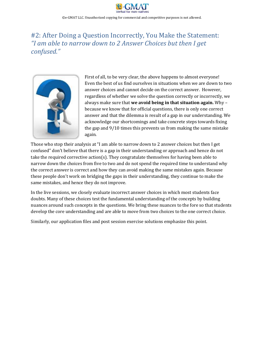

©e-GMAT LLC. Unauthorized copying for commercial and competitive purposes is not allowed.

### <span id="page-4-0"></span>#2: After Doing a Question Incorrectly, You Make the Statement: *"I am able to narrow down to 2 Answer Choices but then I get confused."*



First of all, to be very clear, the above happens to almost everyone! Even the best of us find ourselves in situations when we are down to two answer choices and cannot decide on the correct answer. However, regardless of whether we solve the question correctly or incorrectly, we always make sure that **we avoid being in that situation again.** Why – because we know that for official questions, there is only one correct answer and that the dilemma is result of a gap in our understanding. We acknowledge our shortcomings and take concrete steps towards fixing the gap and 9/10 times this prevents us from making the same mistake again.

Those who stop their analysis at "I am able to narrow down to 2 answer choices but then I get confused" don't believe that there is a gap in their understanding or approach and hence do not take the required corrective action(s). They congratulate themselves for having been able to narrow down the choices from five to two and do not spend the required time to understand why the correct answer is correct and how they can avoid making the same mistakes again. Because these people don't work on bridging the gaps in their understanding, they continue to make the same mistakes, and hence they do not improve.

In the live sessions, we closely evaluate incorrect answer choices in which most students face doubts. Many of these choices test the fundamental understanding of the concepts by building nuances around such concepts in the questions. We bring these nuances to the fore so that students develop the core understanding and are able to move from two choices to the one correct choice.

Similarly, our application files and post session exercise solutions emphasize this point.